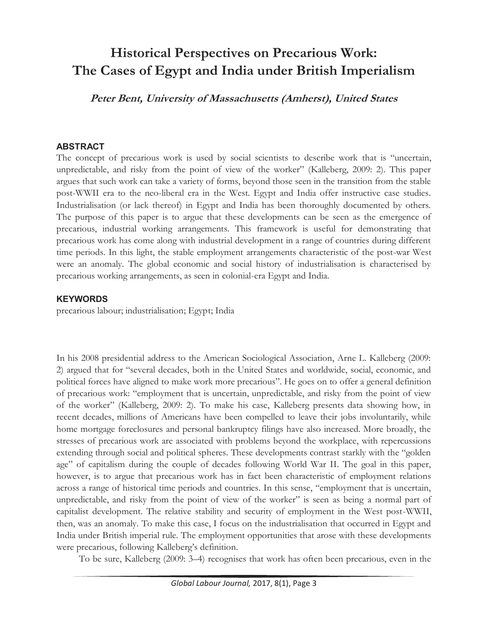# **Historical Perspectives on Precarious Work: The Cases of Egypt and India under British Imperialism**

**Peter Bent, University of Massachusetts (Amherst), United States** 

#### **ABSTRACT**

The concept of precarious work is used by social scientists to describe work that is "uncertain, unpredictable, and risky from the point of view of the worker" (Kalleberg, 2009: 2). This paper argues that such work can take a variety of forms, beyond those seen in the transition from the stable post-WWII era to the neo-liberal era in the West. Egypt and India offer instructive case studies. Industrialisation (or lack thereof) in Egypt and India has been thoroughly documented by others. The purpose of this paper is to argue that these developments can be seen as the emergence of precarious, industrial working arrangements. This framework is useful for demonstrating that precarious work has come along with industrial development in a range of countries during different time periods. In this light, the stable employment arrangements characteristic of the post-war West were an anomaly. The global economic and social history of industrialisation is characterised by precarious working arrangements, as seen in colonial-era Egypt and India.

### **KEYWORDS**

precarious labour; industrialisation; Egypt; India

In his 2008 presidential address to the American Sociological Association, Arne L. Kalleberg (2009: 2) argued that for "several decades, both in the United States and worldwide, social, economic, and political forces have aligned to make work more precarious". He goes on to offer a general definition of precarious work: "employment that is uncertain, unpredictable, and risky from the point of view of the worker" (Kalleberg, 2009: 2). To make his case, Kalleberg presents data showing how, in recent decades, millions of Americans have been compelled to leave their jobs involuntarily, while home mortgage foreclosures and personal bankruptcy filings have also increased. More broadly, the stresses of precarious work are associated with problems beyond the workplace, with repercussions extending through social and political spheres. These developments contrast starkly with the "golden age" of capitalism during the couple of decades following World War II. The goal in this paper, however, is to argue that precarious work has in fact been characteristic of employment relations across a range of historical time periods and countries. In this sense, "employment that is uncertain, unpredictable, and risky from the point of view of the worker" is seen as being a normal part of capitalist development. The relative stability and security of employment in the West post-WWII, then, was an anomaly. To make this case, I focus on the industrialisation that occurred in Egypt and India under British imperial rule. The employment opportunities that arose with these developments were precarious, following Kalleberg's definition.

To be sure, Kalleberg (2009: 3–4) recognises that work has often been precarious, even in the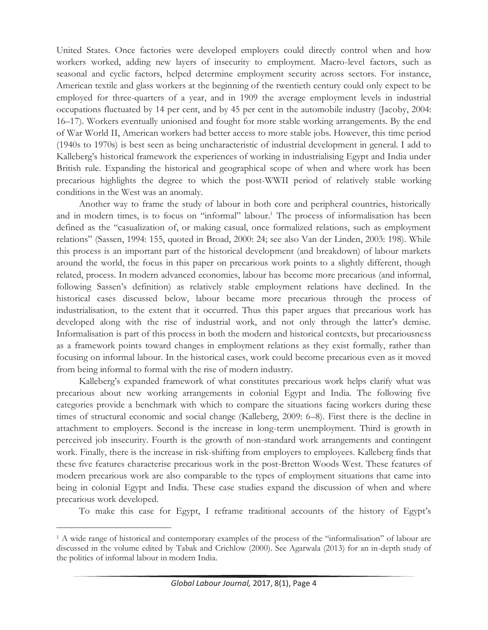United States. Once factories were developed employers could directly control when and how workers worked, adding new layers of insecurity to employment. Macro-level factors, such as seasonal and cyclic factors, helped determine employment security across sectors. For instance, American textile and glass workers at the beginning of the twentieth century could only expect to be employed for three-quarters of a year, and in 1909 the average employment levels in industrial occupations fluctuated by 14 per cent, and by 45 per cent in the automobile industry (Jacoby, 2004: 16–17). Workers eventually unionised and fought for more stable working arrangements. By the end of War World II, American workers had better access to more stable jobs. However, this time period (1940s to 1970s) is best seen as being uncharacteristic of industrial development in general. I add to Kalleberg's historical framework the experiences of working in industrialising Egypt and India under British rule. Expanding the historical and geographical scope of when and where work has been precarious highlights the degree to which the post-WWII period of relatively stable working conditions in the West was an anomaly.

Another way to frame the study of labour in both core and peripheral countries, historically and in modern times, is to focus on "informal" labour.<sup>1</sup> The process of informalisation has been defined as the "casualization of, or making casual, once formalized relations, such as employment relations" (Sassen, 1994: 155, quoted in Broad, 2000: 24; see also Van der Linden, 2003: 198). While this process is an important part of the historical development (and breakdown) of labour markets around the world, the focus in this paper on precarious work points to a slightly different, though related, process. In modern advanced economies, labour has become more precarious (and informal, following Sassen's definition) as relatively stable employment relations have declined. In the historical cases discussed below, labour became more precarious through the process of industrialisation, to the extent that it occurred. Thus this paper argues that precarious work has developed along with the rise of industrial work, and not only through the latter's demise. Informalisation is part of this process in both the modern and historical contexts, but precariousness as a framework points toward changes in employment relations as they exist formally, rather than focusing on informal labour. In the historical cases, work could become precarious even as it moved from being informal to formal with the rise of modern industry.

Kalleberg's expanded framework of what constitutes precarious work helps clarify what was precarious about new working arrangements in colonial Egypt and India. The following five categories provide a benchmark with which to compare the situations facing workers during these times of structural economic and social change (Kalleberg, 2009: 6–8). First there is the decline in attachment to employers. Second is the increase in long-term unemployment. Third is growth in perceived job insecurity. Fourth is the growth of non-standard work arrangements and contingent work. Finally, there is the increase in risk-shifting from employers to employees. Kalleberg finds that these five features characterise precarious work in the post-Bretton Woods West. These features of modern precarious work are also comparable to the types of employment situations that came into being in colonial Egypt and India. These case studies expand the discussion of when and where precarious work developed.

To make this case for Egypt, I reframe traditional accounts of the history of Egypt's

<sup>&</sup>lt;sup>1</sup> A wide range of historical and contemporary examples of the process of the "informalisation" of labour are discussed in the volume edited by Tabak and Crichlow (2000). See Agarwala (2013) for an in-depth study of the politics of informal labour in modern India.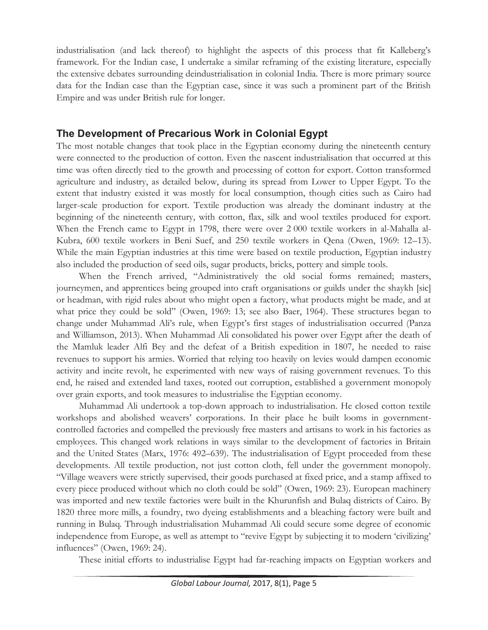industrialisation (and lack thereof) to highlight the aspects of this process that fit Kalleberg's framework. For the Indian case, I undertake a similar reframing of the existing literature, especially the extensive debates surrounding deindustrialisation in colonial India. There is more primary source data for the Indian case than the Egyptian case, since it was such a prominent part of the British Empire and was under British rule for longer.

### **The Development of Precarious Work in Colonial Egypt**

The most notable changes that took place in the Egyptian economy during the nineteenth century were connected to the production of cotton. Even the nascent industrialisation that occurred at this time was often directly tied to the growth and processing of cotton for export. Cotton transformed agriculture and industry, as detailed below, during its spread from Lower to Upper Egypt. To the extent that industry existed it was mostly for local consumption, though cities such as Cairo had larger-scale production for export. Textile production was already the dominant industry at the beginning of the nineteenth century, with cotton, flax, silk and wool textiles produced for export. When the French came to Egypt in 1798, there were over 2 000 textile workers in al-Mahalla al-Kubra, 600 textile workers in Beni Suef, and 250 textile workers in Qena (Owen, 1969: 12–13). While the main Egyptian industries at this time were based on textile production, Egyptian industry also included the production of seed oils, sugar products, bricks, pottery and simple tools.

When the French arrived, "Administratively the old social forms remained; masters, journeymen, and apprentices being grouped into craft organisations or guilds under the shaykh [sic] or headman, with rigid rules about who might open a factory, what products might be made, and at what price they could be sold" (Owen, 1969: 13; see also Baer, 1964). These structures began to change under Muhammad Ali's rule, when Egypt's first stages of industrialisation occurred (Panza and Williamson, 2013). When Muhammad Ali consolidated his power over Egypt after the death of the Mamluk leader Alfi Bey and the defeat of a British expedition in 1807, he needed to raise revenues to support his armies. Worried that relying too heavily on levies would dampen economic activity and incite revolt, he experimented with new ways of raising government revenues. To this end, he raised and extended land taxes, rooted out corruption, established a government monopoly over grain exports, and took measures to industrialise the Egyptian economy.

Muhammad Ali undertook a top-down approach to industrialisation. He closed cotton textile workshops and abolished weavers' corporations. In their place he built looms in governmentcontrolled factories and compelled the previously free masters and artisans to work in his factories as employees. This changed work relations in ways similar to the development of factories in Britain and the United States (Marx, 1976: 492–639). The industrialisation of Egypt proceeded from these developments. All textile production, not just cotton cloth, fell under the government monopoly. "Village weavers were strictly supervised, their goods purchased at fixed price, and a stamp affixed to every piece produced without which no cloth could be sold" (Owen, 1969: 23). European machinery was imported and new textile factories were built in the Khurunfish and Bulaq districts of Cairo. By 1820 three more mills, a foundry, two dyeing establishments and a bleaching factory were built and running in Bulaq. Through industrialisation Muhammad Ali could secure some degree of economic independence from Europe, as well as attempt to "revive Egypt by subjecting it to modern 'civilizing' influences" (Owen, 1969: 24).

These initial efforts to industrialise Egypt had far-reaching impacts on Egyptian workers and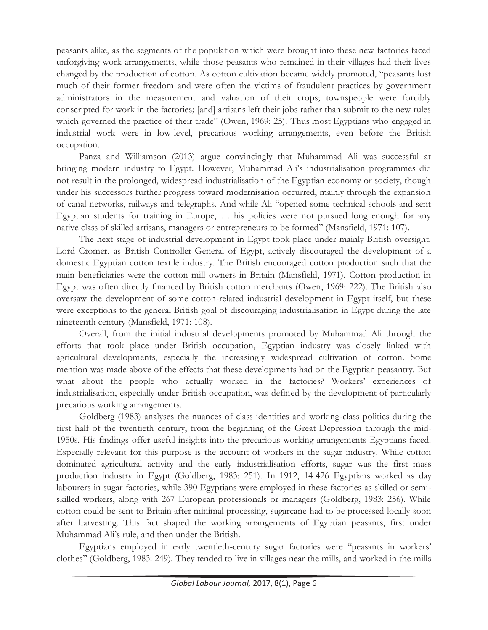peasants alike, as the segments of the population which were brought into these new factories faced unforgiving work arrangements, while those peasants who remained in their villages had their lives changed by the production of cotton. As cotton cultivation became widely promoted, "peasants lost much of their former freedom and were often the victims of fraudulent practices by government administrators in the measurement and valuation of their crops; townspeople were forcibly conscripted for work in the factories; [and] artisans left their jobs rather than submit to the new rules which governed the practice of their trade" (Owen, 1969: 25). Thus most Egyptians who engaged in industrial work were in low-level, precarious working arrangements, even before the British occupation.

Panza and Williamson (2013) argue convincingly that Muhammad Ali was successful at bringing modern industry to Egypt. However, Muhammad Ali's industrialisation programmes did not result in the prolonged, widespread industrialisation of the Egyptian economy or society, though under his successors further progress toward modernisation occurred, mainly through the expansion of canal networks, railways and telegraphs. And while Ali "opened some technical schools and sent Egyptian students for training in Europe, … his policies were not pursued long enough for any native class of skilled artisans, managers or entrepreneurs to be formed" (Mansfield, 1971: 107).

The next stage of industrial development in Egypt took place under mainly British oversight. Lord Cromer, as British Controller-General of Egypt, actively discouraged the development of a domestic Egyptian cotton textile industry. The British encouraged cotton production such that the main beneficiaries were the cotton mill owners in Britain (Mansfield, 1971). Cotton production in Egypt was often directly financed by British cotton merchants (Owen, 1969: 222). The British also oversaw the development of some cotton-related industrial development in Egypt itself, but these were exceptions to the general British goal of discouraging industrialisation in Egypt during the late nineteenth century (Mansfield, 1971: 108).

Overall, from the initial industrial developments promoted by Muhammad Ali through the efforts that took place under British occupation, Egyptian industry was closely linked with agricultural developments, especially the increasingly widespread cultivation of cotton. Some mention was made above of the effects that these developments had on the Egyptian peasantry. But what about the people who actually worked in the factories? Workers' experiences of industrialisation, especially under British occupation, was defined by the development of particularly precarious working arrangements.

Goldberg (1983) analyses the nuances of class identities and working-class politics during the first half of the twentieth century, from the beginning of the Great Depression through the mid-1950s. His findings offer useful insights into the precarious working arrangements Egyptians faced. Especially relevant for this purpose is the account of workers in the sugar industry. While cotton dominated agricultural activity and the early industrialisation efforts, sugar was the first mass production industry in Egypt (Goldberg, 1983: 251). In 1912, 14 426 Egyptians worked as day labourers in sugar factories, while 390 Egyptians were employed in these factories as skilled or semiskilled workers, along with 267 European professionals or managers (Goldberg, 1983: 256). While cotton could be sent to Britain after minimal processing, sugarcane had to be processed locally soon after harvesting. This fact shaped the working arrangements of Egyptian peasants, first under Muhammad Ali's rule, and then under the British.

Egyptians employed in early twentieth-century sugar factories were "peasants in workers' clothes" (Goldberg, 1983: 249). They tended to live in villages near the mills, and worked in the mills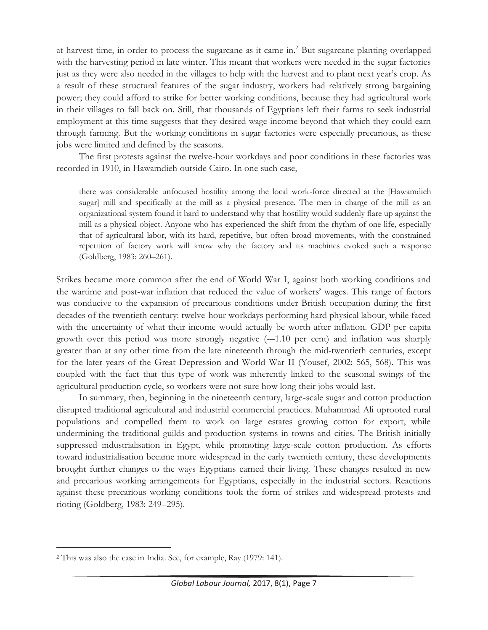at harvest time, in order to process the sugarcane as it came in.<sup>2</sup> But sugarcane planting overlapped with the harvesting period in late winter. This meant that workers were needed in the sugar factories just as they were also needed in the villages to help with the harvest and to plant next year's crop. As a result of these structural features of the sugar industry, workers had relatively strong bargaining power; they could afford to strike for better working conditions, because they had agricultural work in their villages to fall back on. Still, that thousands of Egyptians left their farms to seek industrial employment at this time suggests that they desired wage income beyond that which they could earn through farming. But the working conditions in sugar factories were especially precarious, as these jobs were limited and defined by the seasons.

The first protests against the twelve-hour workdays and poor conditions in these factories was recorded in 1910, in Hawamdieh outside Cairo. In one such case,

there was considerable unfocused hostility among the local work-force directed at the [Hawamdieh sugar] mill and specifically at the mill as a physical presence. The men in charge of the mill as an organizational system found it hard to understand why that hostility would suddenly flare up against the mill as a physical object. Anyone who has experienced the shift from the rhythm of one life, especially that of agricultural labor, with its hard, repetitive, but often broad movements, with the constrained repetition of factory work will know why the factory and its machines evoked such a response (Goldberg, 1983: 260–261).

Strikes became more common after the end of World War I, against both working conditions and the wartime and post-war inflation that reduced the value of workers' wages. This range of factors was conducive to the expansion of precarious conditions under British occupation during the first decades of the twentieth century: twelve-hour workdays performing hard physical labour, while faced with the uncertainty of what their income would actually be worth after inflation. GDP per capita growth over this period was more strongly negative (-–1.10 per cent) and inflation was sharply greater than at any other time from the late nineteenth through the mid-twentieth centuries, except for the later years of the Great Depression and World War II (Yousef, 2002: 565, 568). This was coupled with the fact that this type of work was inherently linked to the seasonal swings of the agricultural production cycle, so workers were not sure how long their jobs would last.

In summary, then, beginning in the nineteenth century, large-scale sugar and cotton production disrupted traditional agricultural and industrial commercial practices. Muhammad Ali uprooted rural populations and compelled them to work on large estates growing cotton for export, while undermining the traditional guilds and production systems in towns and cities. The British initially suppressed industrialisation in Egypt, while promoting large-scale cotton production. As efforts toward industrialisation became more widespread in the early twentieth century, these developments brought further changes to the ways Egyptians earned their living. These changes resulted in new and precarious working arrangements for Egyptians, especially in the industrial sectors. Reactions against these precarious working conditions took the form of strikes and widespread protests and rioting (Goldberg, 1983: 249–295).

<sup>2</sup> This was also the case in India. See, for example, Ray (1979: 141).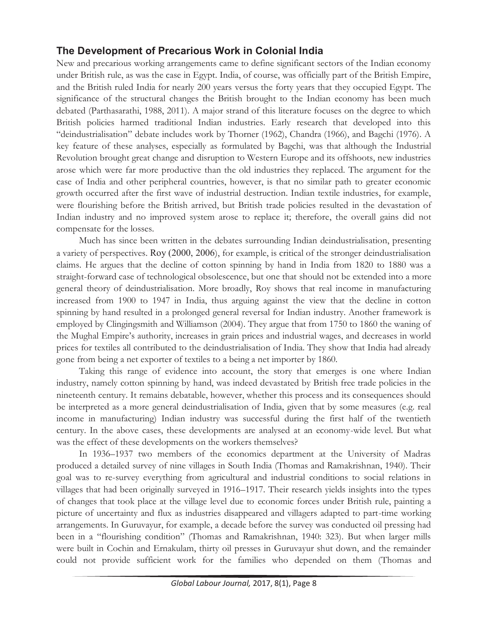## **The Development of Precarious Work in Colonial India**

New and precarious working arrangements came to define significant sectors of the Indian economy under British rule, as was the case in Egypt. India, of course, was officially part of the British Empire, and the British ruled India for nearly 200 years versus the forty years that they occupied Egypt. The significance of the structural changes the British brought to the Indian economy has been much debated (Parthasarathi, 1988, 2011). A major strand of this literature focuses on the degree to which British policies harmed traditional Indian industries. Early research that developed into this "deindustrialisation" debate includes work by Thorner (1962), Chandra (1966), and Bagchi (1976). A key feature of these analyses, especially as formulated by Bagchi, was that although the Industrial Revolution brought great change and disruption to Western Europe and its offshoots, new industries arose which were far more productive than the old industries they replaced. The argument for the case of India and other peripheral countries, however, is that no similar path to greater economic growth occurred after the first wave of industrial destruction. Indian textile industries, for example, were flourishing before the British arrived, but British trade policies resulted in the devastation of Indian industry and no improved system arose to replace it; therefore, the overall gains did not compensate for the losses.

Much has since been written in the debates surrounding Indian deindustrialisation, presenting a variety of perspectives. Roy (2000, 2006), for example, is critical of the stronger deindustrialisation claims. He argues that the decline of cotton spinning by hand in India from 1820 to 1880 was a straight-forward case of technological obsolescence, but one that should not be extended into a more general theory of deindustrialisation. More broadly, Roy shows that real income in manufacturing increased from 1900 to 1947 in India, thus arguing against the view that the decline in cotton spinning by hand resulted in a prolonged general reversal for Indian industry. Another framework is employed by Clingingsmith and Williamson (2004). They argue that from 1750 to 1860 the waning of the Mughal Empire's authority, increases in grain prices and industrial wages, and decreases in world prices for textiles all contributed to the deindustrialisation of India. They show that India had already gone from being a net exporter of textiles to a being a net importer by 1860.

Taking this range of evidence into account, the story that emerges is one where Indian industry, namely cotton spinning by hand, was indeed devastated by British free trade policies in the nineteenth century. It remains debatable, however, whether this process and its consequences should be interpreted as a more general deindustrialisation of India, given that by some measures (e.g. real income in manufacturing) Indian industry was successful during the first half of the twentieth century. In the above cases, these developments are analysed at an economy-wide level. But what was the effect of these developments on the workers themselves?

In 1936–1937 two members of the economics department at the University of Madras produced a detailed survey of nine villages in South India (Thomas and Ramakrishnan, 1940). Their goal was to re-survey everything from agricultural and industrial conditions to social relations in villages that had been originally surveyed in 1916–1917. Their research yields insights into the types of changes that took place at the village level due to economic forces under British rule, painting a picture of uncertainty and flux as industries disappeared and villagers adapted to part-time working arrangements. In Guruvayur, for example, a decade before the survey was conducted oil pressing had been in a "flourishing condition" (Thomas and Ramakrishnan, 1940: 323). But when larger mills were built in Cochin and Ernakulam, thirty oil presses in Guruvayur shut down, and the remainder could not provide sufficient work for the families who depended on them (Thomas and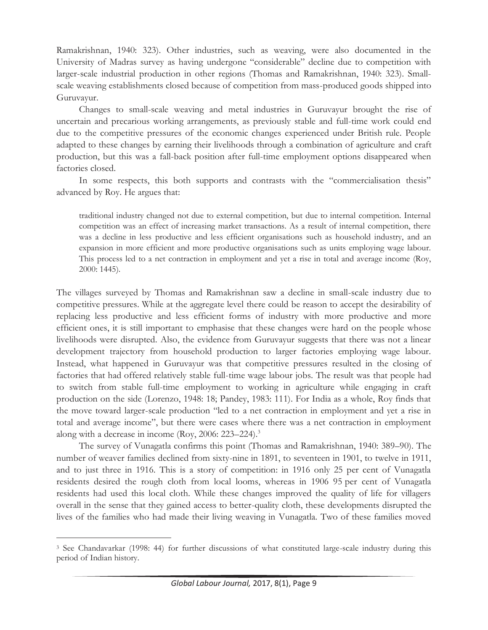Ramakrishnan, 1940: 323). Other industries, such as weaving, were also documented in the University of Madras survey as having undergone "considerable" decline due to competition with larger-scale industrial production in other regions (Thomas and Ramakrishnan, 1940: 323). Smallscale weaving establishments closed because of competition from mass-produced goods shipped into Guruvayur.

Changes to small-scale weaving and metal industries in Guruvayur brought the rise of uncertain and precarious working arrangements, as previously stable and full-time work could end due to the competitive pressures of the economic changes experienced under British rule. People adapted to these changes by earning their livelihoods through a combination of agriculture and craft production, but this was a fall-back position after full-time employment options disappeared when factories closed.

In some respects, this both supports and contrasts with the "commercialisation thesis" advanced by Roy. He argues that:

traditional industry changed not due to external competition, but due to internal competition. Internal competition was an effect of increasing market transactions. As a result of internal competition, there was a decline in less productive and less efficient organisations such as household industry, and an expansion in more efficient and more productive organisations such as units employing wage labour. This process led to a net contraction in employment and yet a rise in total and average income (Roy, 2000: 1445).

The villages surveyed by Thomas and Ramakrishnan saw a decline in small-scale industry due to competitive pressures. While at the aggregate level there could be reason to accept the desirability of replacing less productive and less efficient forms of industry with more productive and more efficient ones, it is still important to emphasise that these changes were hard on the people whose livelihoods were disrupted. Also, the evidence from Guruvayur suggests that there was not a linear development trajectory from household production to larger factories employing wage labour. Instead, what happened in Guruvayur was that competitive pressures resulted in the closing of factories that had offered relatively stable full-time wage labour jobs. The result was that people had to switch from stable full-time employment to working in agriculture while engaging in craft production on the side (Lorenzo, 1948: 18; Pandey, 1983: 111). For India as a whole, Roy finds that the move toward larger-scale production "led to a net contraction in employment and yet a rise in total and average income", but there were cases where there was a net contraction in employment along with a decrease in income (Roy, 2006: 223–224).3

The survey of Vunagatla confirms this point (Thomas and Ramakrishnan, 1940: 389–90). The number of weaver families declined from sixty-nine in 1891, to seventeen in 1901, to twelve in 1911, and to just three in 1916. This is a story of competition: in 1916 only 25 per cent of Vunagatla residents desired the rough cloth from local looms, whereas in 1906 95 per cent of Vunagatla residents had used this local cloth. While these changes improved the quality of life for villagers overall in the sense that they gained access to better-quality cloth, these developments disrupted the lives of the families who had made their living weaving in Vunagatla. Two of these families moved

<sup>3</sup> See Chandavarkar (1998: 44) for further discussions of what constituted large-scale industry during this period of Indian history.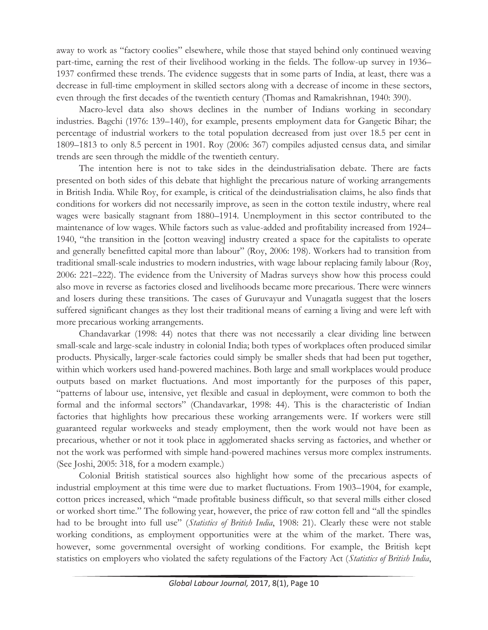away to work as "factory coolies" elsewhere, while those that stayed behind only continued weaving part-time, earning the rest of their livelihood working in the fields. The follow-up survey in 1936– 1937 confirmed these trends. The evidence suggests that in some parts of India, at least, there was a decrease in full-time employment in skilled sectors along with a decrease of income in these sectors, even through the first decades of the twentieth century (Thomas and Ramakrishnan, 1940: 390).

Macro-level data also shows declines in the number of Indians working in secondary industries. Bagchi (1976: 139–140), for example, presents employment data for Gangetic Bihar; the percentage of industrial workers to the total population decreased from just over 18.5 per cent in 1809–1813 to only 8.5 percent in 1901. Roy (2006: 367) compiles adjusted census data, and similar trends are seen through the middle of the twentieth century.

The intention here is not to take sides in the deindustrialisation debate. There are facts presented on both sides of this debate that highlight the precarious nature of working arrangements in British India. While Roy, for example, is critical of the deindustrialisation claims, he also finds that conditions for workers did not necessarily improve, as seen in the cotton textile industry, where real wages were basically stagnant from 1880–1914. Unemployment in this sector contributed to the maintenance of low wages. While factors such as value-added and profitability increased from 1924– 1940, "the transition in the [cotton weaving] industry created a space for the capitalists to operate and generally benefitted capital more than labour" (Roy, 2006: 198). Workers had to transition from traditional small-scale industries to modern industries, with wage labour replacing family labour (Roy, 2006: 221–222). The evidence from the University of Madras surveys show how this process could also move in reverse as factories closed and livelihoods became more precarious. There were winners and losers during these transitions. The cases of Guruvayur and Vunagatla suggest that the losers suffered significant changes as they lost their traditional means of earning a living and were left with more precarious working arrangements.

Chandavarkar (1998: 44) notes that there was not necessarily a clear dividing line between small-scale and large-scale industry in colonial India; both types of workplaces often produced similar products. Physically, larger-scale factories could simply be smaller sheds that had been put together, within which workers used hand-powered machines. Both large and small workplaces would produce outputs based on market fluctuations. And most importantly for the purposes of this paper, "patterns of labour use, intensive, yet flexible and casual in deployment, were common to both the formal and the informal sectors" (Chandavarkar, 1998: 44). This is the characteristic of Indian factories that highlights how precarious these working arrangements were. If workers were still guaranteed regular workweeks and steady employment, then the work would not have been as precarious, whether or not it took place in agglomerated shacks serving as factories, and whether or not the work was performed with simple hand-powered machines versus more complex instruments. (See Joshi, 2005: 318, for a modern example.)

Colonial British statistical sources also highlight how some of the precarious aspects of industrial employment at this time were due to market fluctuations. From 1903–1904, for example, cotton prices increased, which "made profitable business difficult, so that several mills either closed or worked short time." The following year, however, the price of raw cotton fell and "all the spindles had to be brought into full use" (*Statistics of British India*, 1908: 21). Clearly these were not stable working conditions, as employment opportunities were at the whim of the market. There was, however, some governmental oversight of working conditions. For example, the British kept statistics on employers who violated the safety regulations of the Factory Act (*Statistics of British India*,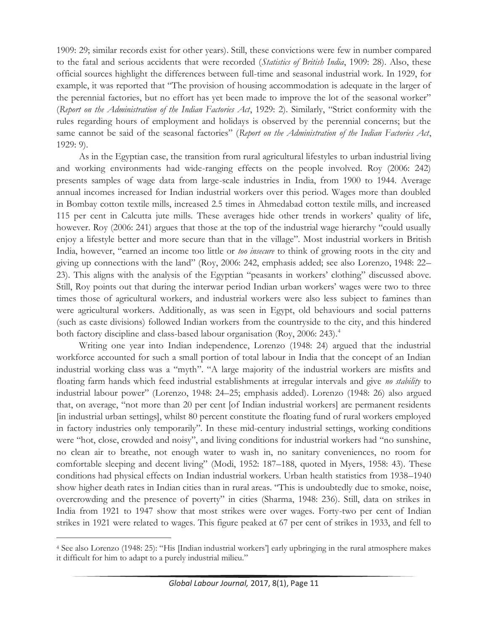1909: 29; similar records exist for other years). Still, these convictions were few in number compared to the fatal and serious accidents that were recorded (*Statistics of British India*, 1909: 28). Also, these official sources highlight the differences between full-time and seasonal industrial work. In 1929, for example, it was reported that "The provision of housing accommodation is adequate in the larger of the perennial factories, but no effort has yet been made to improve the lot of the seasonal worker" (*Report on the Administration of the Indian Factories Act*, 1929: 2). Similarly, "Strict conformity with the rules regarding hours of employment and holidays is observed by the perennial concerns; but the same cannot be said of the seasonal factories" (*Report on the Administration of the Indian Factories Act*, 1929: 9).

As in the Egyptian case, the transition from rural agricultural lifestyles to urban industrial living and working environments had wide-ranging effects on the people involved. Roy (2006: 242) presents samples of wage data from large-scale industries in India, from 1900 to 1944. Average annual incomes increased for Indian industrial workers over this period. Wages more than doubled in Bombay cotton textile mills, increased 2.5 times in Ahmedabad cotton textile mills, and increased 115 per cent in Calcutta jute mills. These averages hide other trends in workers' quality of life, however. Roy (2006: 241) argues that those at the top of the industrial wage hierarchy "could usually enjoy a lifestyle better and more secure than that in the village". Most industrial workers in British India, however, "earned an income too little or *too insecure* to think of growing roots in the city and giving up connections with the land" (Roy, 2006: 242, emphasis added; see also Lorenzo, 1948: 22– 23). This aligns with the analysis of the Egyptian "peasants in workers' clothing" discussed above. Still, Roy points out that during the interwar period Indian urban workers' wages were two to three times those of agricultural workers, and industrial workers were also less subject to famines than were agricultural workers. Additionally, as was seen in Egypt, old behaviours and social patterns (such as caste divisions) followed Indian workers from the countryside to the city, and this hindered both factory discipline and class-based labour organisation (Roy, 2006: 243).<sup>4</sup>

Writing one year into Indian independence, Lorenzo (1948: 24) argued that the industrial workforce accounted for such a small portion of total labour in India that the concept of an Indian industrial working class was a "myth". "A large majority of the industrial workers are misfits and floating farm hands which feed industrial establishments at irregular intervals and give *no stability* to industrial labour power" (Lorenzo, 1948: 24–25; emphasis added). Lorenzo (1948: 26) also argued that, on average, "not more than 20 per cent [of Indian industrial workers] are permanent residents [in industrial urban settings], whilst 80 percent constitute the floating fund of rural workers employed in factory industries only temporarily". In these mid-century industrial settings, working conditions were "hot, close, crowded and noisy", and living conditions for industrial workers had "no sunshine, no clean air to breathe, not enough water to wash in, no sanitary conveniences, no room for comfortable sleeping and decent living" (Modi, 1952: 187–188, quoted in Myers, 1958: 43). These conditions had physical effects on Indian industrial workers. Urban health statistics from 1938–1940 show higher death rates in Indian cities than in rural areas. "This is undoubtedly due to smoke, noise, overcrowding and the presence of poverty" in cities (Sharma, 1948: 236). Still, data on strikes in India from 1921 to 1947 show that most strikes were over wages. Forty-two per cent of Indian strikes in 1921 were related to wages. This figure peaked at 67 per cent of strikes in 1933, and fell to

<sup>4</sup> See also Lorenzo (1948: 25): "His [Indian industrial workers'] early upbringing in the rural atmosphere makes it difficult for him to adapt to a purely industrial milieu."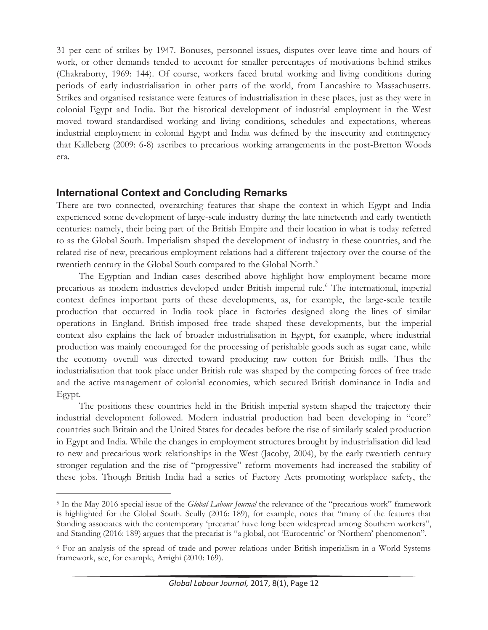31 per cent of strikes by 1947. Bonuses, personnel issues, disputes over leave time and hours of work, or other demands tended to account for smaller percentages of motivations behind strikes (Chakraborty, 1969: 144). Of course, workers faced brutal working and living conditions during periods of early industrialisation in other parts of the world, from Lancashire to Massachusetts. Strikes and organised resistance were features of industrialisation in these places, just as they were in colonial Egypt and India. But the historical development of industrial employment in the West moved toward standardised working and living conditions, schedules and expectations, whereas industrial employment in colonial Egypt and India was defined by the insecurity and contingency that Kalleberg (2009: 6-8) ascribes to precarious working arrangements in the post-Bretton Woods era.

### **International Context and Concluding Remarks**

 $\overline{a}$ 

There are two connected, overarching features that shape the context in which Egypt and India experienced some development of large-scale industry during the late nineteenth and early twentieth centuries: namely, their being part of the British Empire and their location in what is today referred to as the Global South. Imperialism shaped the development of industry in these countries, and the related rise of new, precarious employment relations had a different trajectory over the course of the twentieth century in the Global South compared to the Global North.<sup>5</sup>

The Egyptian and Indian cases described above highlight how employment became more precarious as modern industries developed under British imperial rule.<sup>6</sup> The international, imperial context defines important parts of these developments, as, for example, the large-scale textile production that occurred in India took place in factories designed along the lines of similar operations in England. British-imposed free trade shaped these developments, but the imperial context also explains the lack of broader industrialisation in Egypt, for example, where industrial production was mainly encouraged for the processing of perishable goods such as sugar cane, while the economy overall was directed toward producing raw cotton for British mills. Thus the industrialisation that took place under British rule was shaped by the competing forces of free trade and the active management of colonial economies, which secured British dominance in India and Egypt.

The positions these countries held in the British imperial system shaped the trajectory their industrial development followed. Modern industrial production had been developing in "core" countries such Britain and the United States for decades before the rise of similarly scaled production in Egypt and India. While the changes in employment structures brought by industrialisation did lead to new and precarious work relationships in the West (Jacoby, 2004), by the early twentieth century stronger regulation and the rise of "progressive" reform movements had increased the stability of these jobs. Though British India had a series of Factory Acts promoting workplace safety, the

<sup>5</sup> In the May 2016 special issue of the *Global Labour Journal* the relevance of the "precarious work" framework is highlighted for the Global South. Scully (2016: 189), for example, notes that "many of the features that Standing associates with the contemporary 'precariat' have long been widespread among Southern workers", and Standing (2016: 189) argues that the precariat is "a global, not 'Eurocentric' or 'Northern' phenomenon".

<sup>6</sup> For an analysis of the spread of trade and power relations under British imperialism in a World Systems framework, see, for example, Arrighi (2010: 169).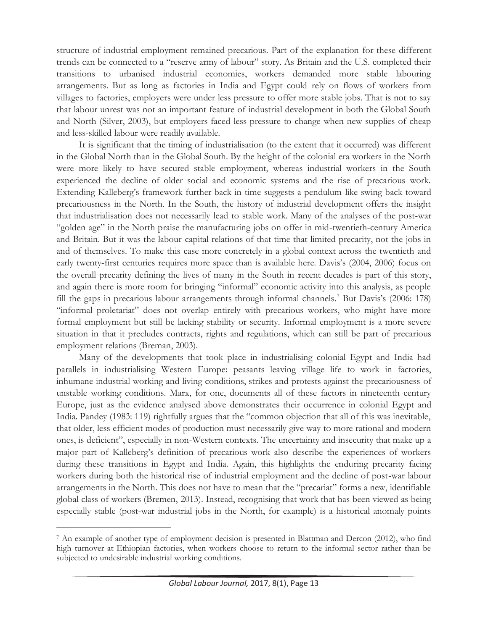structure of industrial employment remained precarious. Part of the explanation for these different trends can be connected to a "reserve army of labour" story. As Britain and the U.S. completed their transitions to urbanised industrial economies, workers demanded more stable labouring arrangements. But as long as factories in India and Egypt could rely on flows of workers from villages to factories, employers were under less pressure to offer more stable jobs. That is not to say that labour unrest was not an important feature of industrial development in both the Global South and North (Silver, 2003), but employers faced less pressure to change when new supplies of cheap and less-skilled labour were readily available.

It is significant that the timing of industrialisation (to the extent that it occurred) was different in the Global North than in the Global South. By the height of the colonial era workers in the North were more likely to have secured stable employment, whereas industrial workers in the South experienced the decline of older social and economic systems and the rise of precarious work. Extending Kalleberg's framework further back in time suggests a pendulum-like swing back toward precariousness in the North. In the South, the history of industrial development offers the insight that industrialisation does not necessarily lead to stable work. Many of the analyses of the post-war "golden age" in the North praise the manufacturing jobs on offer in mid-twentieth-century America and Britain. But it was the labour-capital relations of that time that limited precarity, not the jobs in and of themselves. To make this case more concretely in a global context across the twentieth and early twenty-first centuries requires more space than is available here. Davis's (2004, 2006) focus on the overall precarity defining the lives of many in the South in recent decades is part of this story, and again there is more room for bringing "informal" economic activity into this analysis, as people fill the gaps in precarious labour arrangements through informal channels.<sup>7</sup> But Davis's (2006: 178) "informal proletariat" does not overlap entirely with precarious workers, who might have more formal employment but still be lacking stability or security. Informal employment is a more severe situation in that it precludes contracts, rights and regulations, which can still be part of precarious employment relations (Breman, 2003).

Many of the developments that took place in industrialising colonial Egypt and India had parallels in industrialising Western Europe: peasants leaving village life to work in factories, inhumane industrial working and living conditions, strikes and protests against the precariousness of unstable working conditions. Marx, for one, documents all of these factors in nineteenth century Europe, just as the evidence analysed above demonstrates their occurrence in colonial Egypt and India. Pandey (1983: 119) rightfully argues that the "common objection that all of this was inevitable, that older, less efficient modes of production must necessarily give way to more rational and modern ones, is deficient", especially in non-Western contexts. The uncertainty and insecurity that make up a major part of Kalleberg's definition of precarious work also describe the experiences of workers during these transitions in Egypt and India. Again, this highlights the enduring precarity facing workers during both the historical rise of industrial employment and the decline of post-war labour arrangements in the North. This does not have to mean that the "precariat" forms a new, identifiable global class of workers (Bremen, 2013). Instead, recognising that work that has been viewed as being especially stable (post-war industrial jobs in the North, for example) is a historical anomaly points

<sup>7</sup> An example of another type of employment decision is presented in Blattman and Dercon (2012), who find high turnover at Ethiopian factories, when workers choose to return to the informal sector rather than be subjected to undesirable industrial working conditions.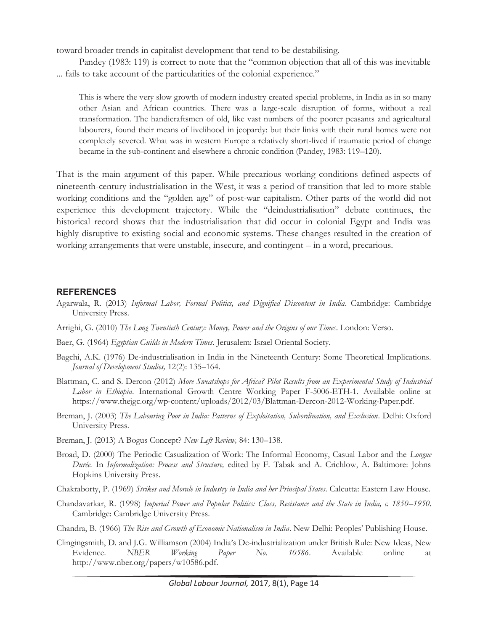toward broader trends in capitalist development that tend to be destabilising.

Pandey (1983: 119) is correct to note that the "common objection that all of this was inevitable ... fails to take account of the particularities of the colonial experience."

This is where the very slow growth of modern industry created special problems, in India as in so many other Asian and African countries. There was a large-scale disruption of forms, without a real transformation. The handicraftsmen of old, like vast numbers of the poorer peasants and agricultural labourers, found their means of livelihood in jeopardy: but their links with their rural homes were not completely severed. What was in western Europe a relatively short-lived if traumatic period of change became in the sub-continent and elsewhere a chronic condition (Pandey, 1983: 119–120).

That is the main argument of this paper. While precarious working conditions defined aspects of nineteenth-century industrialisation in the West, it was a period of transition that led to more stable working conditions and the "golden age" of post-war capitalism. Other parts of the world did not experience this development trajectory. While the "deindustrialisation" debate continues, the historical record shows that the industrialisation that did occur in colonial Egypt and India was highly disruptive to existing social and economic systems. These changes resulted in the creation of working arrangements that were unstable, insecure, and contingent – in a word, precarious.

#### **REFERENCES**

- Agarwala, R. (2013) *Informal Labor, Formal Politics, and Dignified Discontent in India*. Cambridge: Cambridge University Press.
- Arrighi, G. (2010) *The Long Twentieth Century: Money, Power and the Origins of our Times*. London: Verso.
- Baer, G. (1964) *Egyptian Guilds in Modern Times*. Jerusalem: Israel Oriental Society.
- Bagchi, A.K. (1976) De-industrialisation in India in the Nineteenth Century: Some Theoretical Implications. *Journal of Development Studies,* 12(2): 135–164.
- Blattman, C. and S. Dercon (2012) *More Sweatshops for Africa? Pilot Results from an Experimental Study of Industrial Labor in Ethiopia*. International Growth Centre Working Paper F-5006-ETH-1. Available online at https://www.thejgc.org/wp-content/uploads/2012/03/Blattman-Dercon-2012-Working-Paper.pdf.
- Breman, J. (2003) *The Labouring Poor in India: Patterns of Exploitation, Subordination, and Exclusion*. Delhi: Oxford University Press.
- Breman, J. (2013) A Bogus Concept? *New Left Review,* 84: 130–138.
- Broad, D. (2000) The Periodic Casualization of Work: The Informal Economy, Casual Labor and the *Longue Durée.* In *Informalization: Process and Structure,* edited by F. Tabak and A. Crichlow, A. Baltimore: Johns Hopkins University Press.
- Chakraborty, P. (1969) *Strikes and Morale in Industry in India and her Principal States*. Calcutta: Eastern Law House.
- Chandavarkar, R. (1998) *Imperial Power and Popular Politics: Class, Resistance and the State in India, c. 1850–1950*. Cambridge: Cambridge University Press.
- Chandra, B. (1966) *The Rise and Growth of Economic Nationalism in India*. New Delhi: Peoples' Publishing House.
- Clingingsmith, D. and J.G. Williamson (2004) India's De-industrialization under British Rule: New Ideas, New Evidence. *NBER Working Paper No. 10586*. Available online at http://www.nber.org/papers/w10586.pdf.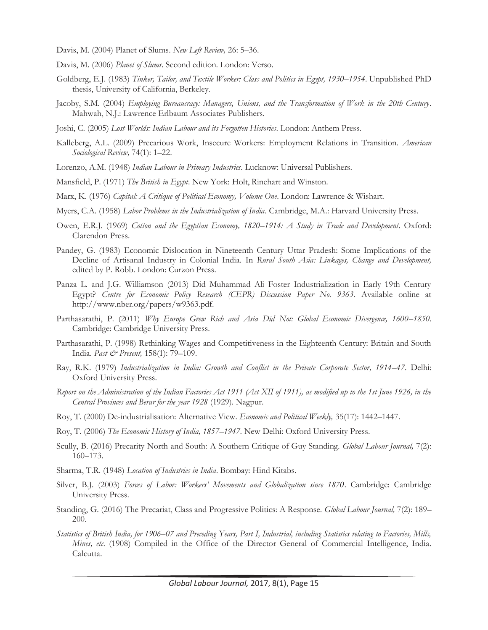- Davis, M. (2004) Planet of Slums. *New Left Review,* 26: 5–36.
- Davis, M. (2006) *Planet of Slums*. Second edition. London: Verso.
- Goldberg, E.J. (1983) *Tinker, Tailor, and Textile Worker: Class and Politics in Egypt, 1930–1954*. Unpublished PhD thesis, University of California, Berkeley.
- Jacoby, S.M. (2004) *Employing Bureaucracy: Managers, Unions, and the Transformation of Work in the 20th Century*. Mahwah, N.J.: Lawrence Erlbaum Associates Publishers.
- Joshi, C. (2005) *Lost Worlds: Indian Labour and its Forgotten Histories*. London: Anthem Press.
- Kalleberg, A.L. (2009) Precarious Work, Insecure Workers: Employment Relations in Transition. *American Sociological Review,* 74(1): 1–22.
- Lorenzo, A.M. (1948) *Indian Labour in Primary Industries*. Lucknow: Universal Publishers.
- Mansfield, P. (1971) *The British in Egypt*. New York: Holt, Rinehart and Winston.
- Marx, K. (1976) *Capital: A Critique of Political Economy, Volume One*. London: Lawrence & Wishart.
- Myers, C.A. (1958) *Labor Problems in the Industrialization of India*. Cambridge, M.A.: Harvard University Press.
- Owen, E.R.J. (1969) *Cotton and the Egyptian Economy, 1820–1914: A Study in Trade and Development*. Oxford: Clarendon Press.
- Pandey, G. (1983) Economic Dislocation in Nineteenth Century Uttar Pradesh: Some Implications of the Decline of Artisanal Industry in Colonial India. In *Rural South Asia: Linkages, Change and Development,*  edited by P. Robb. London: Curzon Press.
- Panza L. and J.G. Williamson (2013) Did Muhammad Ali Foster Industrialization in Early 19th Century Egypt? *Centre for Economic Policy Research (CEPR) Discussion Paper No. 9363*. Available online at http://www.nber.org/papers/w9363.pdf.
- Parthasarathi, P. (2011) *Why Europe Grew Rich and Asia Did Not: Global Economic Divergence, 1600–1850*. Cambridge: Cambridge University Press.
- Parthasarathi, P. (1998) Rethinking Wages and Competitiveness in the Eighteenth Century: Britain and South India. *Past & Present,* 158(1): 79–109.
- Ray, R.K. (1979) *Industrialization in India: Growth and Conflict in the Private Corporate Sector, 1914–47*. Delhi: Oxford University Press.
- *Report on the Administration of the Indian Factories Act 1911 (Act XII of 1911), as modified up to the 1st June 1926, in the Central Provinces and Berar for the year 1928* (1929). Nagpur.
- Roy, T. (2000) De-industrialisation: Alternative View. *Economic and Political Weekly,* 35(17): 1442–1447.
- Roy, T. (2006) *The Economic History of India, 1857–1947*. New Delhi: Oxford University Press.
- Scully, B. (2016) Precarity North and South: A Southern Critique of Guy Standing. *Global Labour Journal,* 7(2): 160–173.
- Sharma, T.R. (1948) *Location of Industries in India*. Bombay: Hind Kitabs.
- Silver, B.J. (2003) *Forces of Labor: Workers' Movements and Globalization since 1870*. Cambridge: Cambridge University Press.
- Standing, G. (2016) The Precariat, Class and Progressive Politics: A Response. *Global Labour Journal,* 7(2): 189– 200.
- *Statistics of British India, for 1906–07 and Preceding Years, Part I, Industrial, including Statistics relating to Factories, Mills, Mines, etc*. (1908) Compiled in the Office of the Director General of Commercial Intelligence, India. Calcutta.